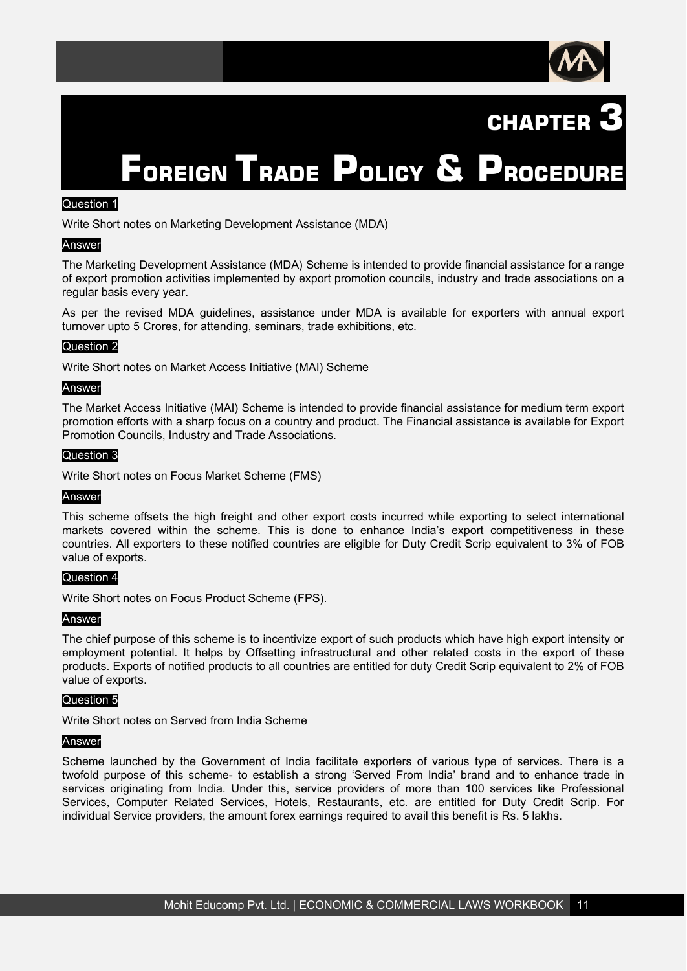



# **FOREIGN TRADE POLICY & PROCEDURE**

### Question 1

Write Short notes on Marketing Development Assistance (MDA)

#### Answer

The Marketing Development Assistance (MDA) Scheme is intended to provide financial assistance for a range of export promotion activities implemented by export promotion councils, industry and trade associations on a regular basis every year.

As per the revised MDA guidelines, assistance under MDA is available for exporters with annual export turnover upto 5 Crores, for attending, seminars, trade exhibitions, etc.

#### Question 2

Write Short notes on Market Access Initiative (MAI) Scheme

#### Answer

The Market Access Initiative (MAI) Scheme is intended to provide financial assistance for medium term export promotion efforts with a sharp focus on a country and product. The Financial assistance is available for Export Promotion Councils, Industry and Trade Associations.

#### Question 3

Write Short notes on Focus Market Scheme (FMS)

#### **Answer**

This scheme offsets the high freight and other export costs incurred while exporting to select international markets covered within the scheme. This is done to enhance India's export competitiveness in these countries. All exporters to these notified countries are eligible for Duty Credit Scrip equivalent to 3% of FOB value of exports.

#### Question 4

Write Short notes on Focus Product Scheme (FPS).

#### Answer

The chief purpose of this scheme is to incentivize export of such products which have high export intensity or employment potential. It helps by Offsetting infrastructural and other related costs in the export of these products. Exports of notified products to all countries are entitled for duty Credit Scrip equivalent to 2% of FOB value of exports.

#### Question 5

Write Short notes on Served from India Scheme

#### Answer

Scheme launched by the Government of India facilitate exporters of various type of services. There is a twofold purpose of this scheme- to establish a strong 'Served From India' brand and to enhance trade in services originating from India. Under this, service providers of more than 100 services like Professional Services, Computer Related Services, Hotels, Restaurants, etc. are entitled for Duty Credit Scrip. For individual Service providers, the amount forex earnings required to avail this benefit is Rs. 5 lakhs.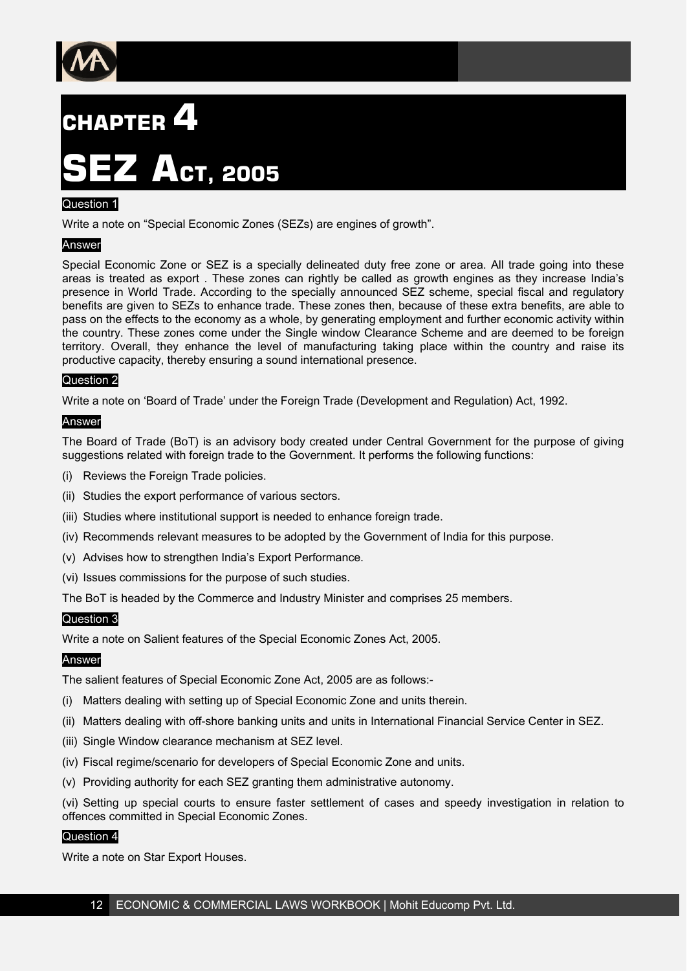

# **CHAPTER 4**

# **SEZ ACT, 2005**

# Question 1

Write a note on "Special Economic Zones (SEZs) are engines of growth".

# Answer

Special Economic Zone or SEZ is a specially delineated duty free zone or area. All trade going into these areas is treated as export . These zones can rightly be called as growth engines as they increase India's presence in World Trade. According to the specially announced SEZ scheme, special fiscal and regulatory benefits are given to SEZs to enhance trade. These zones then, because of these extra benefits, are able to pass on the effects to the economy as a whole, by generating employment and further economic activity within the country. These zones come under the Single window Clearance Scheme and are deemed to be foreign territory. Overall, they enhance the level of manufacturing taking place within the country and raise its productive capacity, thereby ensuring a sound international presence.

# Question 2

Write a note on 'Board of Trade' under the Foreign Trade (Development and Regulation) Act, 1992.

#### Answer

The Board of Trade (BoT) is an advisory body created under Central Government for the purpose of giving suggestions related with foreign trade to the Government. It performs the following functions:

- (i) Reviews the Foreign Trade policies.
- (ii) Studies the export performance of various sectors.
- (iii) Studies where institutional support is needed to enhance foreign trade.
- (iv) Recommends relevant measures to be adopted by the Government of India for this purpose.
- (v) Advises how to strengthen India's Export Performance.
- (vi) Issues commissions for the purpose of such studies.

The BoT is headed by the Commerce and Industry Minister and comprises 25 members.

# Question 3

Write a note on Salient features of the Special Economic Zones Act, 2005.

# Answer

The salient features of Special Economic Zone Act, 2005 are as follows:-

- (i) Matters dealing with setting up of Special Economic Zone and units therein.
- (ii) Matters dealing with off-shore banking units and units in International Financial Service Center in SEZ.
- (iii) Single Window clearance mechanism at SEZ level.
- (iv) Fiscal regime/scenario for developers of Special Economic Zone and units.
- (v) Providing authority for each SEZ granting them administrative autonomy.

(vi) Setting up special courts to ensure faster settlement of cases and speedy investigation in relation to offences committed in Special Economic Zones.

# Question 4

Write a note on Star Export Houses.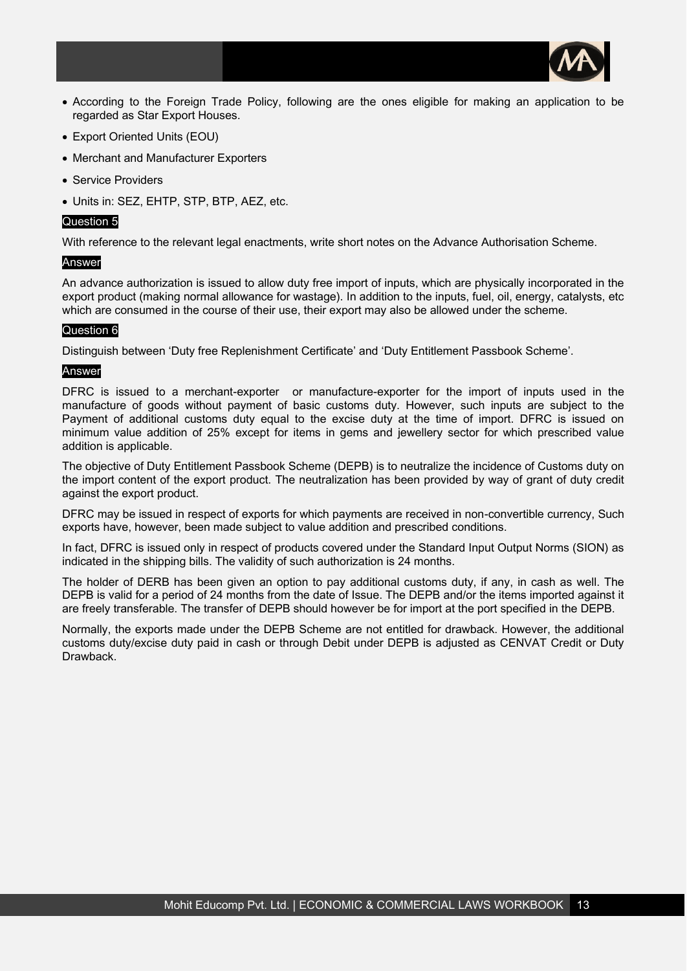

- According to the Foreign Trade Policy, following are the ones eligible for making an application to be regarded as Star Export Houses.
- Export Oriented Units (EOU)
- Merchant and Manufacturer Exporters
- Service Providers
- Units in: SEZ, EHTP, STP, BTP, AEZ, etc.

#### Question 5

With reference to the relevant legal enactments, write short notes on the Advance Authorisation Scheme.

#### Answer

An advance authorization is issued to allow duty free import of inputs, which are physically incorporated in the export product (making normal allowance for wastage). In addition to the inputs, fuel, oil, energy, catalysts, etc which are consumed in the course of their use, their export may also be allowed under the scheme.

# Question 6

Distinguish between 'Duty free Replenishment Certificate' and 'Duty Entitlement Passbook Scheme'.

#### Answer

DFRC is issued to a merchant-exporter or manufacture-exporter for the import of inputs used in the manufacture of goods without payment of basic customs duty. However, such inputs are subject to the Payment of additional customs duty equal to the excise duty at the time of import. DFRC is issued on minimum value addition of 25% except for items in gems and jewellery sector for which prescribed value addition is applicable.

The objective of Duty Entitlement Passbook Scheme (DEPB) is to neutralize the incidence of Customs duty on the import content of the export product. The neutralization has been provided by way of grant of duty credit against the export product.

DFRC may be issued in respect of exports for which payments are received in non-convertible currency, Such exports have, however, been made subject to value addition and prescribed conditions.

In fact, DFRC is issued only in respect of products covered under the Standard Input Output Norms (SION) as indicated in the shipping bills. The validity of such authorization is 24 months.

The holder of DERB has been given an option to pay additional customs duty, if any, in cash as well. The DEPB is valid for a period of 24 months from the date of Issue. The DEPB and/or the items imported against it are freely transferable. The transfer of DEPB should however be for import at the port specified in the DEPB.

Normally, the exports made under the DEPB Scheme are not entitled for drawback. However, the additional customs duty/excise duty paid in cash or through Debit under DEPB is adjusted as CENVAT Credit or Duty Drawback.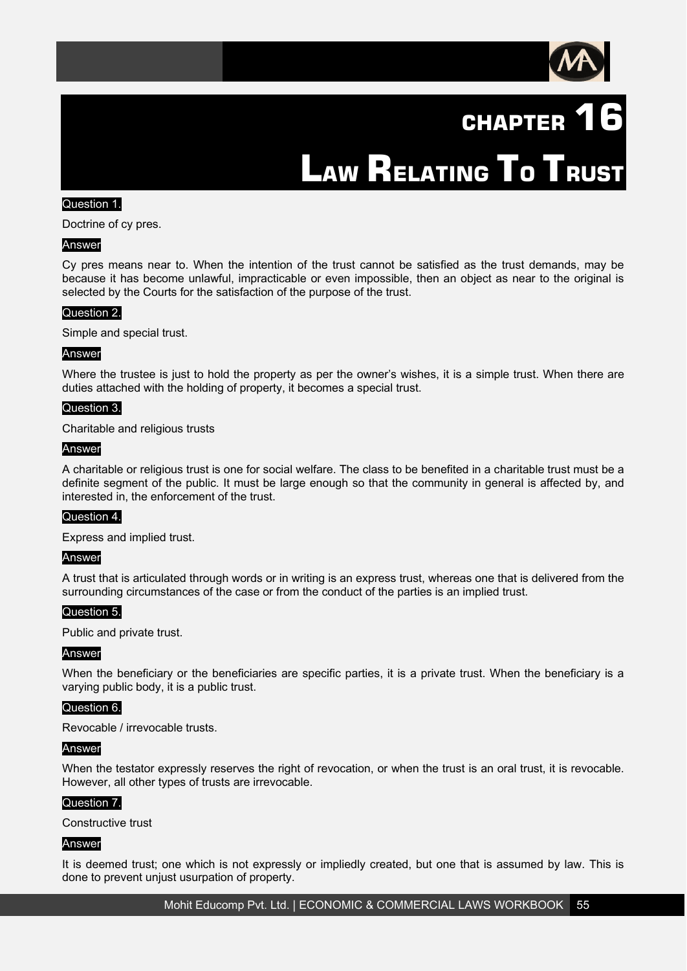

# **CHAPTER 16**

**LAW RELATING TO TRUST** 

# Question 1.

Doctrine of cy pres.

#### Answer

Cy pres means near to. When the intention of the trust cannot be satisfied as the trust demands, may be because it has become unlawful, impracticable or even impossible, then an object as near to the original is selected by the Courts for the satisfaction of the purpose of the trust.

#### Question 2.

Simple and special trust.

#### Answer

Where the trustee is just to hold the property as per the owner's wishes, it is a simple trust. When there are duties attached with the holding of property, it becomes a special trust.

#### Question 3.

Charitable and religious trusts

#### Answer

A charitable or religious trust is one for social welfare. The class to be benefited in a charitable trust must be a definite segment of the public. It must be large enough so that the community in general is affected by, and interested in, the enforcement of the trust.

#### Question 4.

Express and implied trust.

#### Answer

A trust that is articulated through words or in writing is an express trust, whereas one that is delivered from the surrounding circumstances of the case or from the conduct of the parties is an implied trust.

#### Question 5.

Public and private trust.

#### Answer

When the beneficiary or the beneficiaries are specific parties, it is a private trust. When the beneficiary is a varying public body, it is a public trust.

#### Question 6.

Revocable / irrevocable trusts.

#### Answer

When the testator expressly reserves the right of revocation, or when the trust is an oral trust, it is revocable. However, all other types of trusts are irrevocable.

#### Question 7.

Constructive trust

#### Answer

It is deemed trust; one which is not expressly or impliedly created, but one that is assumed by law. This is done to prevent unjust usurpation of property.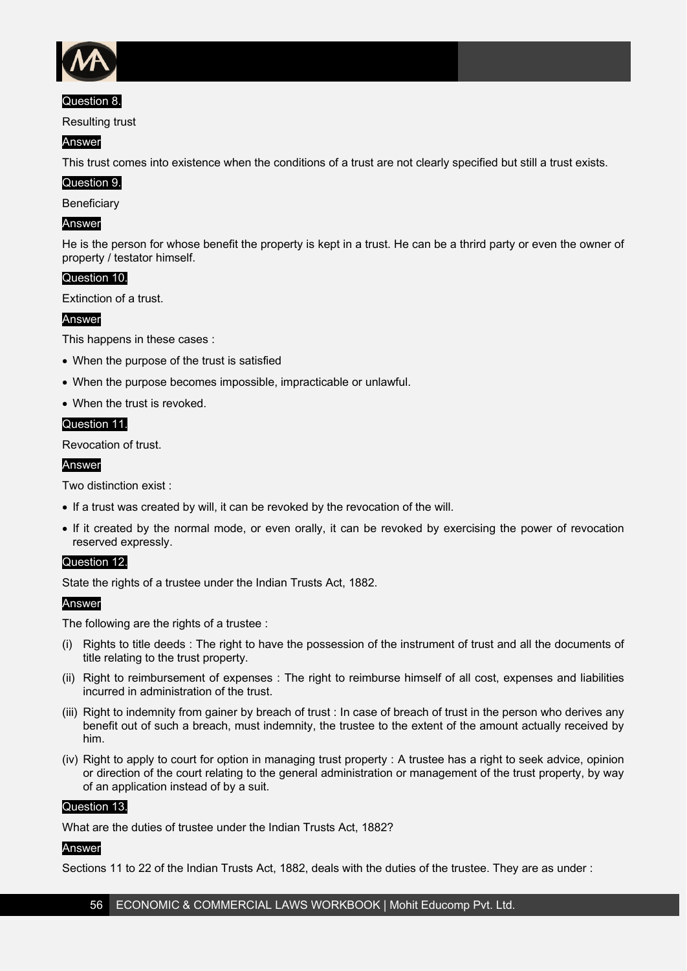

# Question 8.

Resulting trust

# Answer

This trust comes into existence when the conditions of a trust are not clearly specified but still a trust exists.

# Question 9.

**Beneficiary** 

# Answer

He is the person for whose benefit the property is kept in a trust. He can be a thrird party or even the owner of property / testator himself.

# Question 10.

Extinction of a trust.

# Answer

This happens in these cases :

- When the purpose of the trust is satisfied
- When the purpose becomes impossible, impracticable or unlawful.
- When the trust is revoked.

#### Question 11.

Revocation of trust.

#### Answer

Two distinction exist :

- If a trust was created by will, it can be revoked by the revocation of the will.
- If it created by the normal mode, or even orally, it can be revoked by exercising the power of revocation reserved expressly.

# Question 12.

State the rights of a trustee under the Indian Trusts Act, 1882.

# Answer

The following are the rights of a trustee :

- (i) Rights to title deeds : The right to have the possession of the instrument of trust and all the documents of title relating to the trust property.
- (ii) Right to reimbursement of expenses : The right to reimburse himself of all cost, expenses and liabilities incurred in administration of the trust.
- (iii) Right to indemnity from gainer by breach of trust : In case of breach of trust in the person who derives any benefit out of such a breach, must indemnity, the trustee to the extent of the amount actually received by him.
- (iv) Right to apply to court for option in managing trust property : A trustee has a right to seek advice, opinion or direction of the court relating to the general administration or management of the trust property, by way of an application instead of by a suit.

#### Question 13.

What are the duties of trustee under the Indian Trusts Act, 1882?

# Answer

Sections 11 to 22 of the Indian Trusts Act, 1882, deals with the duties of the trustee. They are as under :